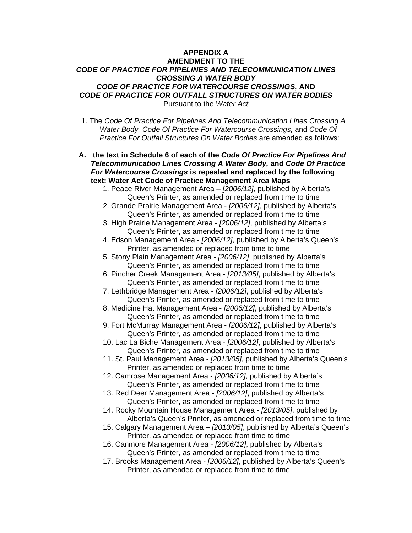## **APPENDIX A AMENDMENT TO THE**  *CODE OF PRACTICE FOR PIPELINES AND TELECOMMUNICATION LINES CROSSING A WATER BODY CODE OF PRACTICE FOR WATERCOURSE CROSSINGS,* **AND**  *CODE OF PRACTICE FOR OUTFALL STRUCTURES ON WATER BODIES*  Pursuant to the *Water Act*

1. The *Code Of Practice For Pipelines And Telecommunication Lines Crossing A Water Body, Code Of Practice For Watercourse Crossings,* and *Code Of Practice For Outfall Structures On Water Bodies* are amended as follows:

**A. the text in Schedule 6 of each of the** *Code Of Practice For Pipelines And Telecommunication Lines Crossing A Water Body,* **and** *Code Of Practice For Watercourse Crossings* **is repealed and replaced by the following text: Water Act Code of Practice Management Area Maps** 

- 1. Peace River Management Area *[2006/12]*, published by Alberta's Queen's Printer, as amended or replaced from time to time
- 2. Grande Prairie Management Area *[2006/12]*, published by Alberta's Queen's Printer, as amended or replaced from time to time

3. High Prairie Management Area - *[2006/12]*, published by Alberta's Queen's Printer, as amended or replaced from time to time

4. Edson Management Area - *[2006/12]*, published by Alberta's Queen's Printer, as amended or replaced from time to time

5. Stony Plain Management Area - *[2006/12]*, published by Alberta's Queen's Printer, as amended or replaced from time to time

- 6. Pincher Creek Management Area *[2013/05]*, published by Alberta's Queen's Printer, as amended or replaced from time to time
- 7. Lethbridge Management Area *[2006/12]*, published by Alberta's Queen's Printer, as amended or replaced from time to time

8. Medicine Hat Management Area - *[2006/12]*, published by Alberta's Queen's Printer, as amended or replaced from time to time

- 9. Fort McMurray Management Area *[2006/12]*, published by Alberta's Queen's Printer, as amended or replaced from time to time
- 10. Lac La Biche Management Area *[2006/12]*, published by Alberta's Queen's Printer, as amended or replaced from time to time
- 11. St. Paul Management Area *[2013/05]*, published by Alberta's Queen's Printer, as amended or replaced from time to time

12. Camrose Management Area - *[2006/12]*, published by Alberta's Queen's Printer, as amended or replaced from time to time

- 13. Red Deer Management Area *[2006/12]*, published by Alberta's Queen's Printer, as amended or replaced from time to time
- 14. Rocky Mountain House Management Area *[2013/05]*, published by Alberta's Queen's Printer, as amended or replaced from time to time
- 15. Calgary Management Area *[2013/05]*, published by Alberta's Queen's Printer, as amended or replaced from time to time

16. Canmore Management Area - *[2006/12]*, published by Alberta's Queen's Printer, as amended or replaced from time to time

17. Brooks Management Area - *[2006/12]*, published by Alberta's Queen's Printer, as amended or replaced from time to time